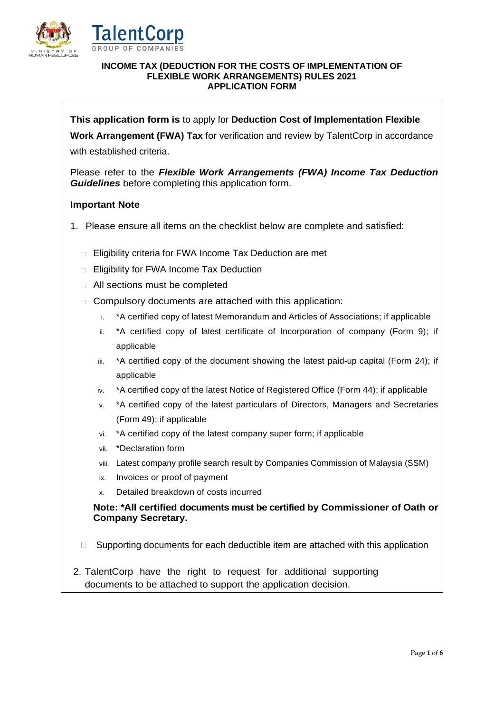



#### **INCOME TAX (DEDUCTION FOR THE COSTS OF IMPLEMENTATION OF FLEXIBLE WORK ARRANGEMENTS) RULES 2021 APPLICATION FORM**

**This application form is** to apply for **Deduction Cost of Implementation Flexible** 

**Work Arrangement (FWA) Tax** for verification and review by TalentCorp in accordance with established criteria.

Please refer to the *Flexible Work Arrangements (FWA) Income Tax Deduction Guidelines* before completing this application form.

## **Important Note**

- 1. Please ensure all items on the checklist below are complete and satisfied:
	- □ Eligibility criteria for FWA Income Tax Deduction are met
	- □ Eligibility for FWA Income Tax Deduction
	- All sections must be completed
	- Compulsory documents are attached with this application:
		- i. \*A certified copy of latest Memorandum and Articles of Associations; if applicable
		- ii. \*A certified copy of latest certificate of Incorporation of company (Form 9); if applicable
		- iii. \*A certified copy of the document showing the latest paid-up capital (Form 24); if applicable
		- iv. \*A certified copy of the latest Notice of Registered Office (Form 44); if applicable
		- v. \*A certified copy of the latest particulars of Directors, Managers and Secretaries (Form 49); if applicable
		- vi. \*A certified copy of the latest company super form; if applicable
		- vii. \*Declaration form
		- viii. Latest company profile search result by Companies Commission of Malaysia (SSM)
		- ix. Invoices or proof of payment
		- x. Detailed breakdown of costs incurred

**Note: \*All certified documents must be certified by Commissioner of Oath or Company Secretary.** 

- $\Box$  Supporting documents for each deductible item are attached with this application
- 2. TalentCorp have the right to request for additional supporting documents to be attached to support the application decision.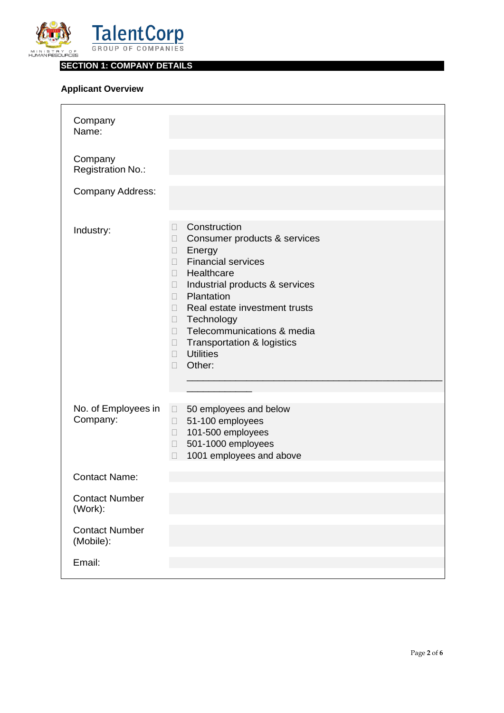

**SECTION 1: COMPANY DETAILS**

# **Applicant Overview**

| Company<br>Name:<br>Company<br>Registration No.:<br><b>Company Address:</b> |                                                                                                                                                                                                                                                                                                                                                                                          |
|-----------------------------------------------------------------------------|------------------------------------------------------------------------------------------------------------------------------------------------------------------------------------------------------------------------------------------------------------------------------------------------------------------------------------------------------------------------------------------|
|                                                                             |                                                                                                                                                                                                                                                                                                                                                                                          |
| Industry:                                                                   | Construction<br>П<br>Consumer products & services<br>$\Box$<br>Energy<br>$\Box$<br><b>Financial services</b><br>П.<br>Healthcare<br>П.<br>Industrial products & services<br>П<br>Plantation<br>П.<br>Real estate investment trusts<br>П<br>Technology<br>$\Box$<br>Telecommunications & media<br>П<br>Transportation & logistics<br>$\Box$<br><b>Utilities</b><br>П.<br>Other:<br>$\Box$ |
| No. of Employees in<br>Company:                                             | 50 employees and below<br>$\Box$<br>51-100 employees<br>$\Box$<br>101-500 employees<br>П.<br>501-1000 employees<br>$\Box$<br>1001 employees and above<br>$\Box$                                                                                                                                                                                                                          |
| <b>Contact Name:</b>                                                        |                                                                                                                                                                                                                                                                                                                                                                                          |
| <b>Contact Number</b><br>(Work):                                            |                                                                                                                                                                                                                                                                                                                                                                                          |
| <b>Contact Number</b><br>(Mobile):                                          |                                                                                                                                                                                                                                                                                                                                                                                          |
| Email:                                                                      |                                                                                                                                                                                                                                                                                                                                                                                          |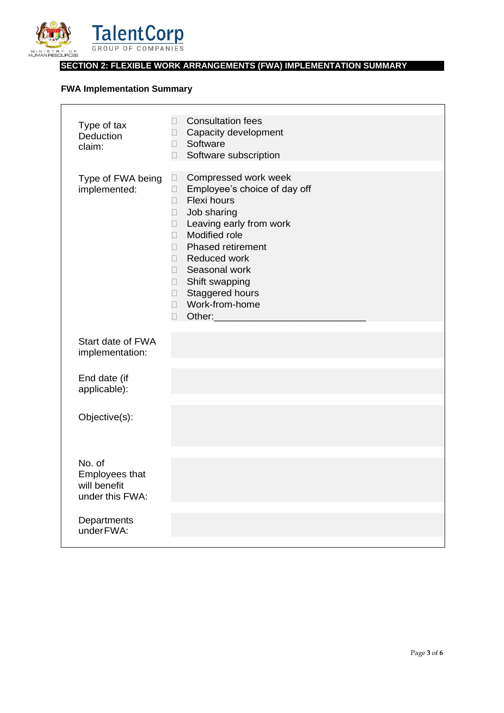

# **SECTION 2: FLEXIBLE WORK ARRANGEMENTS (FWA) IMPLEMENTATION SUMMARY**

# **FWA Implementation Summary**

| Type of tax<br>Deduction<br>claim:                          | <b>Consultation fees</b><br>П<br>Capacity development<br>$\square$<br>Software<br>$\Box$<br>Software subscription<br>$\Box$                                                                                                                                                                                                                                                                    |
|-------------------------------------------------------------|------------------------------------------------------------------------------------------------------------------------------------------------------------------------------------------------------------------------------------------------------------------------------------------------------------------------------------------------------------------------------------------------|
| Type of FWA being<br>implemented:                           | Compressed work week<br>$\Box$<br>Employee's choice of day off<br>$\Box$<br>Flexi hours<br>$\Box$<br>Job sharing<br>$\Box$<br>Leaving early from work<br>$\Box$<br>Modified role<br>$\Box$<br><b>Phased retirement</b><br>$\Box$<br>Reduced work<br>$\Box$<br>Seasonal work<br>$\Box$<br>Shift swapping<br>$\Box$<br>Staggered hours<br>$\Box$<br>Work-from-home<br>$\Box$<br>Other:<br>$\Box$ |
| Start date of FWA<br>implementation:                        |                                                                                                                                                                                                                                                                                                                                                                                                |
| End date (if<br>applicable):                                |                                                                                                                                                                                                                                                                                                                                                                                                |
| Objective(s):                                               |                                                                                                                                                                                                                                                                                                                                                                                                |
| No. of<br>Employees that<br>will benefit<br>under this FWA: |                                                                                                                                                                                                                                                                                                                                                                                                |
| Departments<br>under FWA:                                   |                                                                                                                                                                                                                                                                                                                                                                                                |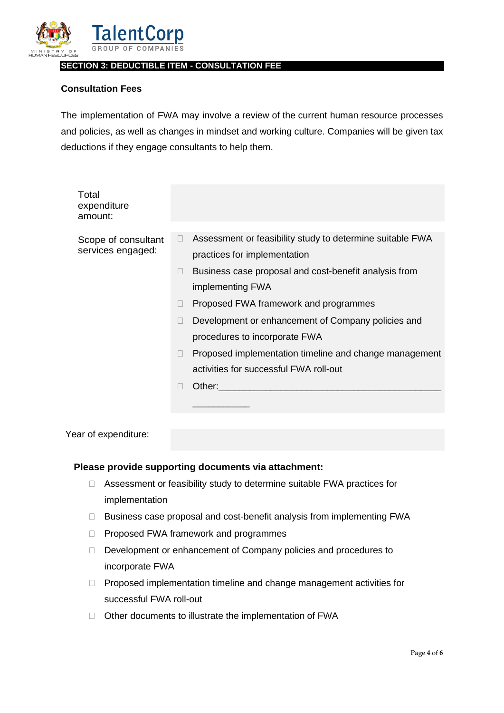

### **SECTION 3: DEDUCTIBLE ITEM - CONSULTATION FEE**

# **Consultation Fees**

The implementation of FWA may involve a review of the current human resource processes and policies, as well as changes in mindset and working culture. Companies will be given tax deductions if they engage consultants to help them.

| Total<br>expenditure<br>amount:          |   |                                                                                           |
|------------------------------------------|---|-------------------------------------------------------------------------------------------|
|                                          |   |                                                                                           |
| Scope of consultant<br>services engaged: | П | Assessment or feasibility study to determine suitable FWA<br>practices for implementation |
|                                          |   | Business case proposal and cost-benefit analysis from                                     |
|                                          |   |                                                                                           |
|                                          |   | implementing FWA                                                                          |
|                                          |   | Proposed FWA framework and programmes                                                     |
|                                          |   | Development or enhancement of Company policies and                                        |
|                                          |   | procedures to incorporate FWA                                                             |
|                                          |   | Proposed implementation timeline and change management                                    |
|                                          |   | activities for successful FWA roll-out                                                    |
|                                          |   | Other:                                                                                    |
|                                          |   |                                                                                           |

Year of expenditure:

### **Please provide supporting documents via attachment:**

- □ Assessment or feasibility study to determine suitable FWA practices for implementation
- $\Box$  Business case proposal and cost-benefit analysis from implementing FWA
- D Proposed FWA framework and programmes
- Development or enhancement of Company policies and procedures to incorporate FWA
- $\Box$  Proposed implementation timeline and change management activities for successful FWA roll-out
- □ Other documents to illustrate the implementation of FWA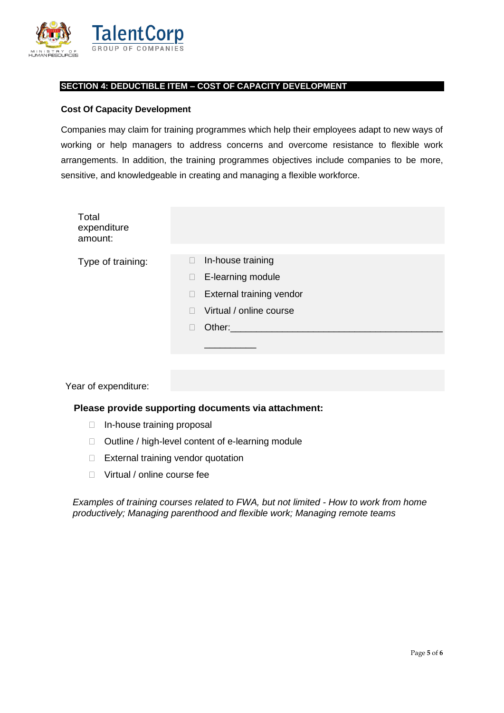

## **SECTION 4: DEDUCTIBLE ITEM – COST OF CAPACITY DEVELOPMENT**

#### **Cost Of Capacity Development**

Companies may claim for training programmes which help their employees adapt to new ways of working or help managers to address concerns and overcome resistance to flexible work arrangements. In addition, the training programmes objectives include companies to be more, sensitive, and knowledgeable in creating and managing a flexible workforce.

| Total<br>expenditure<br>amount: |                                                                                                                                            |
|---------------------------------|--------------------------------------------------------------------------------------------------------------------------------------------|
| Type of training:               | In-house training<br>П<br>E-learning module<br>$\Box$<br>External training vendor<br>$\Box$<br>Virtual / online course<br>П<br>Other:<br>П |

Year of expenditure:

#### **Please provide supporting documents via attachment:**

- $\Box$  In-house training proposal
- $\Box$  Outline / high-level content of e-learning module
- □ External training vendor quotation
- □ Virtual / online course fee

*Examples of training courses related to FWA, but not limited - How to work from home productively; Managing parenthood and flexible work; Managing remote teams*